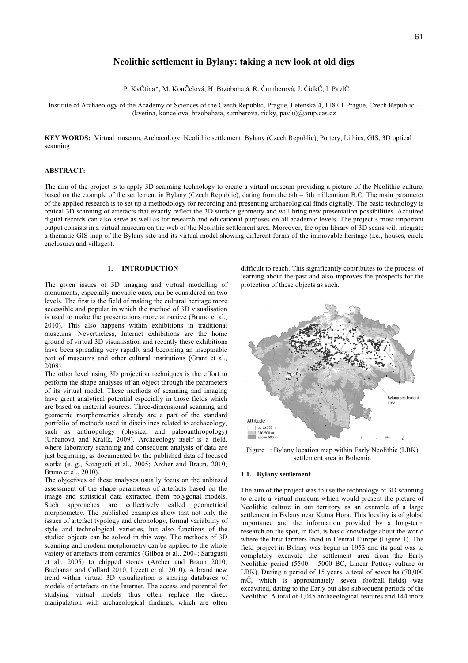# **Neolithic settlement in Bylany: taking a new look at old digs**

P. Kv tina\*, M. Kon elová, H. Brzobohatá, R. umberová, J. ídk , I. Pavl

Institute of Archaeology of the Academy of Sciences of the Czech Republic, Prague, Letenská 4, 118 01 Prague, Czech Republic – (kvetina, koncelova, brzobohata, sumberova, ridky, pavlu)@arup.cas.cz

**KEY WORDS:** Virtual museum, Archaeology, Neolithic settlement, Bylany (Czech Republic), Pottery, Lithics, GIS, 3D optical scanning

## **ABSTRACT:**

The aim of the project is to apply 3D scanning technology to create a virtual museum providing a picture of the Neolithic culture, based on the example of the settlement in Bylany (Czech Republic), dating from the 6th – 5th millennium B.C. The main parameter of the applied research is to set up a methodology for recording and presenting archaeological finds digitally. The basic technology is optical 3D scanning of artefacts that exactly reflect the 3D surface geometry and will bring new presentation possibilities. Acquired digital records can also serve as well as for research and educational purposes on all academic levels. The project's most important output consists in a virtual museum on the web of the Neolithic settlement area. Moreover, the open library of 3D scans will integrate a thematic GIS map of the Bylany site and its virtual model showing different forms of the immovable heritage (i.e., houses, circle enclosures and villages).

## **1. INTRODUCTION**

The given issues of 3D imaging and virtual modelling of monuments, especially movable ones, can be considered on two levels. The first is the field of making the cultural heritage more accessible and popular in which the method of 3D visualisation is used to make the presentations more attractive (Bruno et al., 2010). This also happens within exhibitions in traditional museums. Nevertheless, Internet exhibitions are the home ground of virtual 3D visualisation and recently these exhibitions have been spreading very rapidly and becoming an inseparable part of museums and other cultural institutions (Grant et al., 2008).

The other level using 3D projection techniques is the effort to perform the shape analyses of an object through the parameters of its virtual model. These methods of scanning and imaging have great analytical potential especially in those fields which are based on material sources. Three-dimensional scanning and geometric morphometrics already are a part of the standard portfolio of methods used in disciplines related to archaeology, such as anthropology (physical and paleoanthropology) (Urbanová and Králík, 2009). Archaeology itself is a field, where laboratory scanning and consequent analysis of data are just beginning, as documented by the published data of focused works (e. g., Saragusti et al., 2005; Archer and Braun, 2010; Bruno et al., 2010).

The objectives of these analyses usually focus on the unbiased assessment of the shape parameters of artefacts based on the image and statistical data extracted from polygonal models. Such approaches are collectively called geometrical morphometry. The published examples show that not only the issues of artefact typology and chronology, formal variability of style and technological varieties, but also functions of the studied objects can be solved in this way. The methods of 3D scanning and modern morphometry can be applied to the whole variety of artefacts from ceramics (Gilboa et al., 2004; Saragusti et al., 2005) to chipped stones (Archer and Braun 2010; Buchanan and Collard 2010; Lycett et al. 2010). A brand new trend within virtual 3D visualization is sharing databases of models of artefacts on the Internet. The access and potential for studying virtual models thus often replace the direct manipulation with archaeological findings, which are often

difficult to reach. This significantly contributes to the process of learning about the past and also improves the prospects for the protection of these objects as such.



Figure 1: Bylany location map within Early Neolithic (LBK) settlement area in Bohemia

#### **1.1. Bylany settlement**

The aim of the project was to use the technology of 3D scanning to create a virtual museum which would present the picture of Neolithic culture in our territory as an example of a large settlement in Bylany near Kutná Hora. This locality is of global importance and the information provided by a long-term research on the spot, in fact, is basic knowledge about the world where the first farmers lived in Central Europe (Figure 1). The field project in Bylany was begun in 1953 and its goal was to completely excavate the settlement area from the Early Neolithic period (5500 – 5000 BC, Linear Pottery culture or LBK). During a period of 15 years, a total of seven ha (70,000 m , which is approximately seven football fields) was excavated, dating to the Early but also subsequent periods of the Neolithic. A total of 1,045 archaeological features and 144 more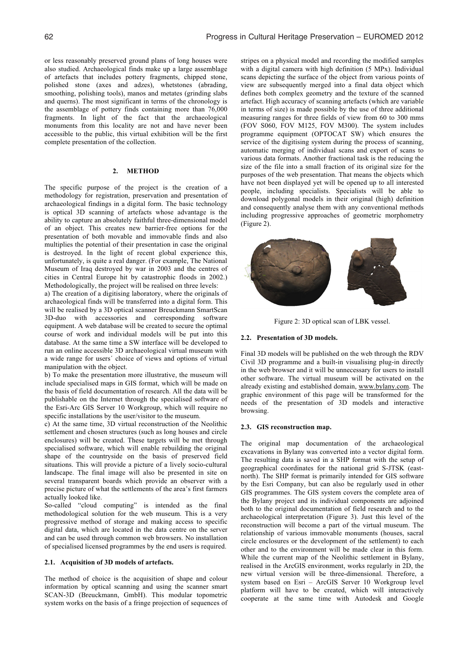or less reasonably preserved ground plans of long houses were also studied. Archaeological finds make up a large assemblage of artefacts that includes pottery fragments, chipped stone, polished stone (axes and adzes), whetstones (abrading, smoothing, polishing tools), manos and metates (grinding slabs and querns). The most significant in terms of the chronology is the assemblage of pottery finds containing more than 76,000 fragments. In light of the fact that the archaeological monuments from this locality are not and have never been accessible to the public, this virtual exhibition will be the first complete presentation of the collection.

### **2. METHOD**

The specific purpose of the project is the creation of a methodology for registration, preservation and presentation of archaeological findings in a digital form. The basic technology is optical 3D scanning of artefacts whose advantage is the ability to capture an absolutely faithful three-dimensional model of an object. This creates new barrier-free options for the presentation of both movable and immovable finds and also multiplies the potential of their presentation in case the original is destroyed. In the light of recent global experience this, unfortunately, is quite a real danger. (For example, The National Museum of Iraq destroyed by war in 2003 and the centres of cities in Central Europe hit by catastrophic floods in 2002.) Methodologically, the project will be realised on three levels:

a) The creation of a digitising laboratory, where the originals of archaeological finds will be transferred into a digital form. This will be realised by a 3D optical scanner Breuckmann SmartScan 3D-duo with accessories and corresponding software equipment. A web database will be created to secure the optimal course of work and individual models will be put into this database. At the same time a SW interface will be developed to run an online accessible 3D archaeological virtual museum with a wide range for users´ choice of views and options of virtual manipulation with the object.

b) To make the presentation more illustrative, the museum will include specialised maps in GIS format, which will be made on the basis of field documentation of research. All the data will be publishable on the Internet through the specialised software of the Esri-Arc GIS Server 10 Workgroup, which will require no specific installations by the user/visitor to the museum.

c) At the same time, 3D virtual reconstruction of the Neolithic settlement and chosen structures (such as long houses and circle enclosures) will be created. These targets will be met through specialised software, which will enable rebuilding the original shape of the countryside on the basis of preserved field situations. This will provide a picture of a lively socio-cultural landscape. The final image will also be presented in site on several transparent boards which provide an observer with a precise picture of what the settlements of the area's first farmers actually looked like.

So-called "cloud computing" is intended as the final methodological solution for the web museum. This is a very progressive method of storage and making access to specific digital data, which are located in the data centre on the server and can be used through common web browsers. No installation of specialised licensed programmes by the end users is required.

### **2.1. Acquisition of 3D models of artefacts.**

The method of choice is the acquisition of shape and colour information by optical scanning and using the scanner smart SCAN-3D (Breuckmann, GmbH). This modular topometric system works on the basis of a fringe projection of sequences of stripes on a physical model and recording the modified samples with a digital camera with high definition (5 MPx). Individual scans depicting the surface of the object from various points of view are subsequently merged into a final data object which defines both complex geometry and the texture of the scanned artefact. High accuracy of scanning artefacts (which are variable in terms of size) is made possible by the use of three additional measuring ranges for three fields of view from 60 to 300 mms (FOV S060, FOV M125, FOV M300). The system includes programme equipment (OPTOCAT SW) which ensures the service of the digitising system during the process of scanning, automatic merging of individual scans and export of scans to various data formats. Another fractional task is the reducing the size of the file into a small fraction of its original size for the purposes of the web presentation. That means the objects which have not been displayed yet will be opened up to all interested people, including specialists. Specialists will be able to download polygonal models in their original (high) definition and consequently analyse them with any conventional methods including progressive approaches of geometric morphometry (Figure 2).



Figure 2: 3D optical scan of LBK vessel.

#### **2.2. Presentation of 3D models.**

Final 3D models will be published on the web through the RDV Civil 3D programme and a built-in visualising plug-in directly in the web browser and it will be unnecessary for users to install other software. The virtual museum will be activated on the already existing and established domain, www.bylany.com. The graphic environment of this page will be transformed for the needs of the presentation of 3D models and interactive browsing.

#### **2.3. GIS reconstruction map.**

The original map documentation of the archaeological excavations in Bylany was converted into a vector digital form. The resulting data is saved in a SHP format with the setup of geographical coordinates for the national grid S-JTSK (eastnorth). The SHP format is primarily intended for GIS software by the Esri Company, but can also be regularly used in other GIS programmes. The GIS system covers the complete area of the Bylany project and its individual components are adjoined both to the original documentation of field research and to the archaeological interpretation (Figure 3). Just this level of the reconstruction will become a part of the virtual museum. The relationship of various immovable monuments (houses, sacral circle enclosures or the development of the settlement) to each other and to the environment will be made clear in this form. While the current map of the Neolithic settlement in Bylany, realised in the ArcGIS environment, works regularly in 2D, the new virtual version will be three-dimensional. Therefore, a system based on Esri – ArcGIS Server 10 Workgroup level platform will have to be created, which will interactively cooperate at the same time with Autodesk and Google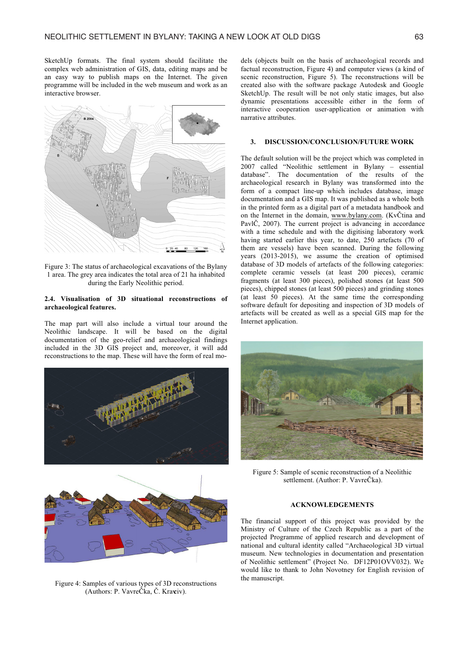SketchUp formats. The final system should facilitate the complex web administration of GIS, data, editing maps and be an easy way to publish maps on the Internet. The given programme will be included in the web museum and work as an interactive browser.



Figure 3: The status of archaeological excavations of the Bylany 1 area. The grey area indicates the total area of 21 ha inhabited during the Early Neolithic period.

## **2.4. Visualisation of 3D situational reconstructions of archaeological features.**

The map part will also include a virtual tour around the Neolithic landscape. It will be based on the digital documentation of the geo-relief and archaeological findings included in the 3D GIS project and, moreover, it will add reconstructions to the map. These will have the form of real mo-





Figure 4: Samples of various types of 3D reconstructions (Authors: P. Vavre ka, . Kravciv).

dels (objects built on the basis of archaeological records and factual reconstruction, Figure 4) and computer views (a kind of scenic reconstruction, Figure 5). The reconstructions will be created also with the software package Autodesk and Google SketchUp. The result will be not only static images, but also dynamic presentations accessible either in the form of interactive cooperation user-application or animation with narrative attributes.

# **3. DISCUSSION/CONCLUSION/FUTURE WORK**

The default solution will be the project which was completed in 2007 called "Neolithic settlement in Bylany – essential database". The documentation of the results of the archaeological research in Bylany was transformed into the form of a compact line-up which includes database, image documentation and a GIS map. It was published as a whole both in the printed form as a digital part of a metadata handbook and on the Internet in the domain, www.bylany.com. (Kv tina and Pavl , 2007). The current project is advancing in accordance with a time schedule and with the digitising laboratory work having started earlier this year, to date, 250 artefacts (70 of them are vessels) have been scanned. During the following years (2013-2015), we assume the creation of optimised database of 3D models of artefacts of the following categories: complete ceramic vessels (at least 200 pieces), ceramic fragments (at least 300 pieces), polished stones (at least 500 pieces), chipped stones (at least 500 pieces) and grinding stones (at least 50 pieces). At the same time the corresponding software default for depositing and inspection of 3D models of artefacts will be created as well as a special GIS map for the Internet application.



Figure 5: Sample of scenic reconstruction of a Neolithic settlement. (Author: P. Vavre ka).

# **ACKNOWLEDGEMENTS**

The financial support of this project was provided by the Ministry of Culture of the Czech Republic as a part of the projected Programme of applied research and development of national and cultural identity called "Archaeological 3D virtual museum. New technologies in documentation and presentation of Neolithic settlement" (Project No. DF12P01OVV032). We would like to thank to John Novotney for English revision of the manuscript.